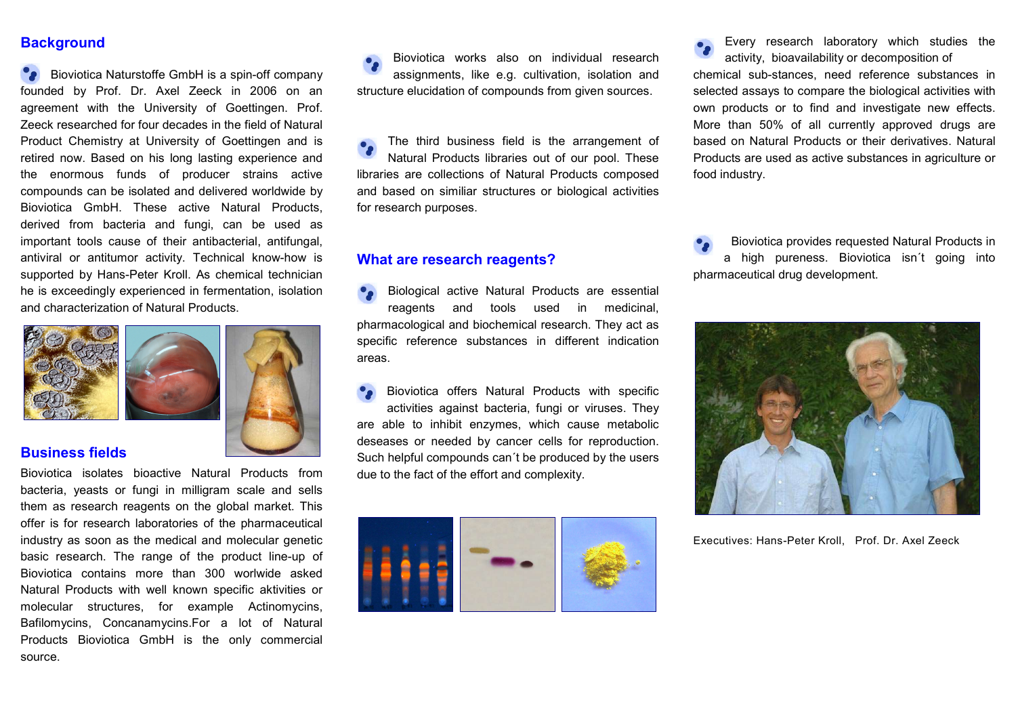### **Background**

**Bioviotica Naturstoffe GmbH is a spin-off company** founded by Prof. Dr. Axel Zeeck in 2006 on an agreement with the University of Goettingen. Prof. Zeeck researched for four decades in the field of Natural Product Chemistry at University of Goettingen and is retired now. Based on his long lasting experience and the enormous funds of producer strains active compounds can be isolated and delivered worldwide by Bioviotica GmbH. These active Natural Products, derived from bacteria and fungi, can be used as important tools cause of their antibacterial, antifungal, antiviral or antitumor activity. Technical know-how is supported by Hans-Peter Kroll. As chemical technician he is exceedingly experienced in fermentation, isolation and characterization of Natural Products.



#### Business fields

Bioviotica isolates bioactive Natural Products from bacteria, yeasts or fungi in milligram scale and sells them as research reagents on the global market. This offer is for research laboratories of the pharmaceutical industry as soon as the medical and molecular genetic basic research. The range of the product line-up of Bioviotica contains more than 300 worlwide asked Natural Products with well known specific aktivities or molecular structures, for example Actinomycins, Bafilomycins, Concanamycins.For a lot of Natural Products Bioviotica GmbH is the only commercial source.

Bioviotica works also on individual research assignments, like e.g. cultivation, isolation and structure elucidation of compounds from given sources.

The third business field is the arrangement of Natural Products libraries out of our pool. These libraries are collections of Natural Products composed and based on similiar structures or biological activities for research purposes.

#### What are research reagents?

Biological active Natural Products are essential reagents and tools used in medicinal, pharmacological and biochemical research. They act as specific reference substances in different indication areas.

Bioviotica offers Natural Products with specific activities against bacteria, fungi or viruses. They are able to inhibit enzymes, which cause metabolic deseases or needed by cancer cells for reproduction. Such helpful compounds can´t be produced by the users due to the fact of the effort and complexity.



Every research laboratory which studies the activity, bioavailability or decomposition of chemical sub-stances, need reference substances in selected assays to compare the biological activities with own products or to find and investigate new effects. More than 50% of all currently approved drugs are based on Natural Products or their derivatives. Natural Products are used as active substances in agriculture or food industry.

 Bioviotica provides requested Natural Products in a high pureness. Bioviotica isn´t going into pharmaceutical drug development.



Executives: Hans-Peter Kroll, Prof. Dr. Axel Zeeck